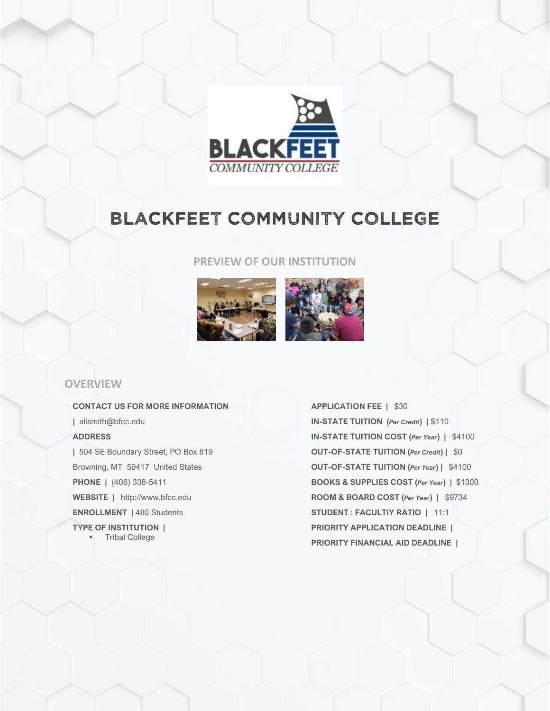

# BLACKFEET COMMUNITY COLLEGE

#### **PREVIEW OF OUR INSTITUTION**



## **OVERVIEW**

**CONTACT US FOR MORE INFORMATION |** alismith@bfcc.edu **ADDRESS |** 504 SE Boundary Street, PO Box 819 Browning, MT 59417 United States **PHONE |** (406) 338-5411 **WEBSITE |** http://www.bfcc.edu **ENROLLMENT |** 480 Students **TYPE OF INSTITUTION |** ▪ Tribal College

**APPLICATION FEE |** \$30 **IN-STATE TUITION (***Per Credit***) |** \$110 **IN-STATE TUITION COST (***Per Year***) |** \$4100 **OUT-OF-STATE TUITION (***Per Credit***) |** \$0 **OUT-OF-STATE TUITION (***Per Year***) |** \$4100 **BOOKS & SUPPLIES COST (***Per Year***) |** \$1300 **ROOM & BOARD COST (***Per Year***) |** \$9734 **STUDENT : FACULTIY RATIO |** 11:1 **PRIORITY APPLICATION DEADLINE | PRIORITY FINANCIAL AID DEADLINE |**